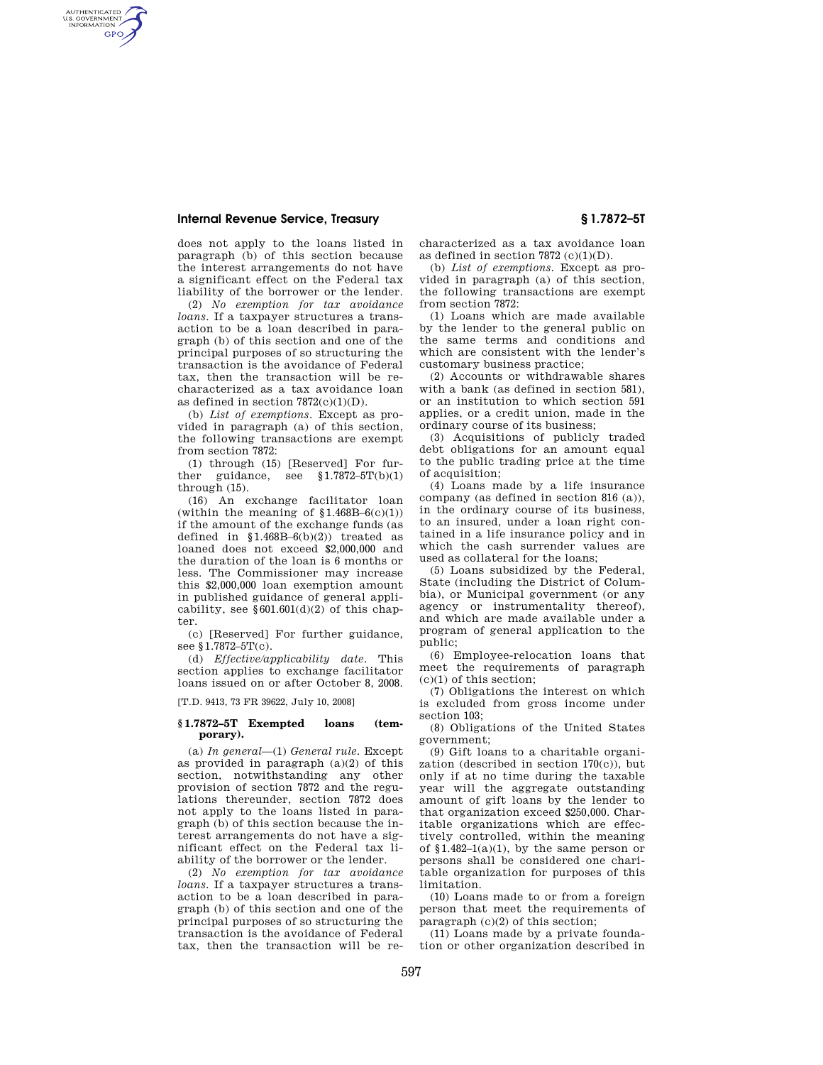## **Internal Revenue Service, Treasury § 1.7872–5T**

AUTHENTICATED<br>U.S. GOVERNMENT<br>INFORMATION **GPO** 

> does not apply to the loans listed in paragraph (b) of this section because the interest arrangements do not have a significant effect on the Federal tax liability of the borrower or the lender.

> (2) *No exemption for tax avoidance loans*. If a taxpayer structures a transaction to be a loan described in paragraph (b) of this section and one of the principal purposes of so structuring the transaction is the avoidance of Federal tax, then the transaction will be recharacterized as a tax avoidance loan as defined in section  $7872(c)(1)(D)$ .

> (b) *List of exemptions*. Except as provided in paragraph (a) of this section, the following transactions are exempt from section 7872:

> (1) through (15) [Reserved] For further guidance, see  $$1.7872-5T(b)(1)$ through (15).

> (16) An exchange facilitator loan (within the meaning of  $$1.468B-6(c)(1)$ ) if the amount of the exchange funds (as defined in  $$1.468B-6(b)(2)$  treated as loaned does not exceed \$2,000,000 and the duration of the loan is 6 months or less. The Commissioner may increase this \$2,000,000 loan exemption amount in published guidance of general applicability, see  $§601.601(d)(2)$  of this chapter.

(c) [Reserved] For further guidance, see §1.7872–5T(c).

(d) *Effective/applicability date*. This section applies to exchange facilitator loans issued on or after October 8, 2008.

[T.D. 9413, 73 FR 39622, July 10, 2008]

## **§ 1.7872–5T Exempted loans (temporary).**

(a) *In general*—(1) *General rule.* Except as provided in paragraph (a)(2) of this section, notwithstanding any other provision of section 7872 and the regulations thereunder, section 7872 does not apply to the loans listed in paragraph (b) of this section because the interest arrangements do not have a significant effect on the Federal tax liability of the borrower or the lender.

(2) *No exemption for tax avoidance loans.* If a taxpayer structures a transaction to be a loan described in paragraph (b) of this section and one of the principal purposes of so structuring the transaction is the avoidance of Federal tax, then the transaction will be recharacterized as a tax avoidance loan as defined in section  $7872 \text{ (c)}(1)(D)$ .

(b) *List of exemptions.* Except as provided in paragraph (a) of this section, the following transactions are exempt from section 7872:

(1) Loans which are made available by the lender to the general public on the same terms and conditions and which are consistent with the lender's customary business practice;

(2) Accounts or withdrawable shares with a bank (as defined in section 581) or an institution to which section 591 applies, or a credit union, made in the ordinary course of its business;

(3) Acquisitions of publicly traded debt obligations for an amount equal to the public trading price at the time of acquisition;

(4) Loans made by a life insurance company (as defined in section 816 (a)), in the ordinary course of its business, to an insured, under a loan right contained in a life insurance policy and in which the cash surrender values are used as collateral for the loans;

(5) Loans subsidized by the Federal, State (including the District of Columbia), or Municipal government (or any agency or instrumentality thereof), and which are made available under a program of general application to the public;

(6) Employee-relocation loans that meet the requirements of paragraph  $(c)(1)$  of this section;

(7) Obligations the interest on which is excluded from gross income under section  $103$ <sup>.</sup>

(8) Obligations of the United States government;

(9) Gift loans to a charitable organization (described in section 170(c)), but only if at no time during the taxable year will the aggregate outstanding amount of gift loans by the lender to that organization exceed \$250,000. Charitable organizations which are effectively controlled, within the meaning of  $$1.482-1(a)(1)$ , by the same person or persons shall be considered one charitable organization for purposes of this limitation.

(10) Loans made to or from a foreign person that meet the requirements of paragraph (c)(2) of this section;

(11) Loans made by a private foundation or other organization described in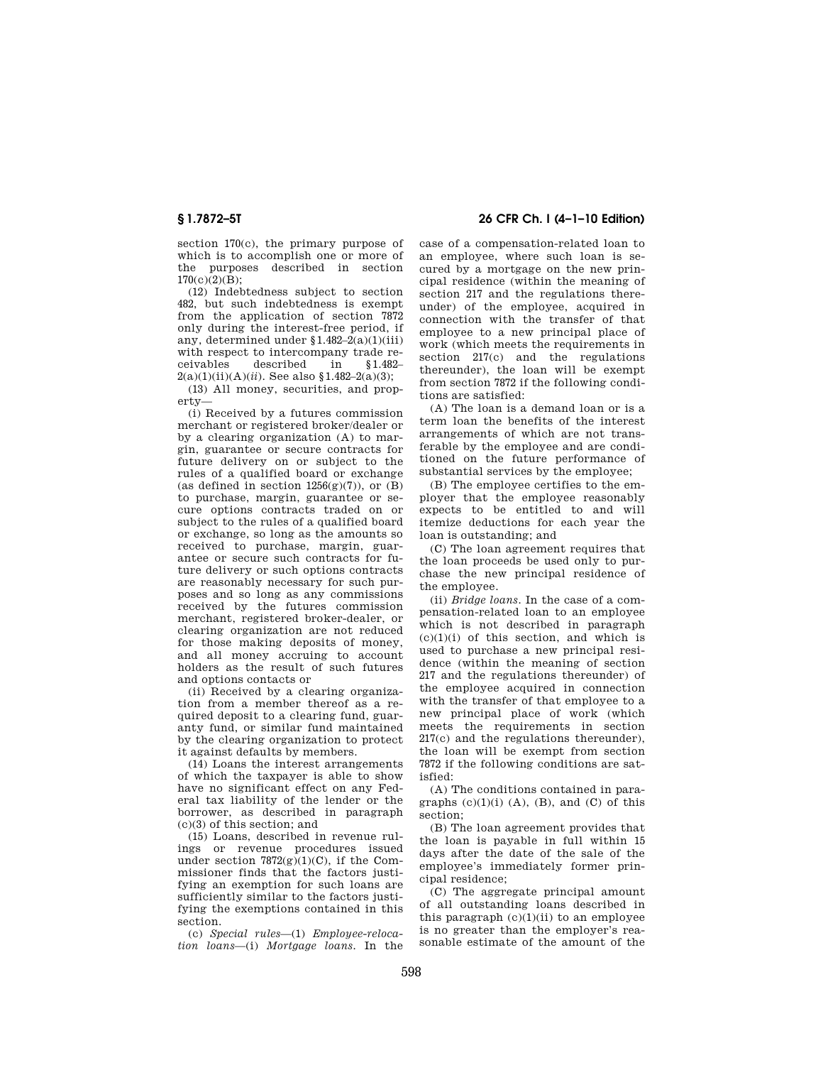section 170(c), the primary purpose of which is to accomplish one or more of the purposes described in section  $170(c)(2)(B);$ 

(12) Indebtedness subject to section 482, but such indebtedness is exempt from the application of section 7872 only during the interest-free period, if any, determined under  $$1.482-2(a)(1)(iii)$ with respect to intercompany trade receivables described in §1.482–  $2(a)(1)(ii)(A)(ii)$ . See also §1.482–2(a)(3);

(13) All money, securities, and property—

(i) Received by a futures commission merchant or registered broker/dealer or by a clearing organization (A) to margin, guarantee or secure contracts for future delivery on or subject to the rules of a qualified board or exchange (as defined in section  $1256(g)(7)$ ), or  $(B)$ to purchase, margin, guarantee or secure options contracts traded on or subject to the rules of a qualified board or exchange, so long as the amounts so received to purchase, margin, guarantee or secure such contracts for future delivery or such options contracts are reasonably necessary for such purposes and so long as any commissions received by the futures commission merchant, registered broker-dealer, or clearing organization are not reduced for those making deposits of money, and all money accruing to account holders as the result of such futures and options contacts or

(ii) Received by a clearing organization from a member thereof as a required deposit to a clearing fund, guaranty fund, or similar fund maintained by the clearing organization to protect it against defaults by members.

(14) Loans the interest arrangements of which the taxpayer is able to show have no significant effect on any Federal tax liability of the lender or the borrower, as described in paragraph (c)(3) of this section; and

(15) Loans, described in revenue rulings or revenue procedures issued under section  $7872(g)(1)(C)$ , if the Commissioner finds that the factors justifying an exemption for such loans are sufficiently similar to the factors justifying the exemptions contained in this section.

(c) *Special rules*—(1) *Employee-relocation loans*—(i) *Mortgage loans.* In the

**§ 1.7872–5T 26 CFR Ch. I (4–1–10 Edition)** 

case of a compensation-related loan to an employee, where such loan is secured by a mortgage on the new principal residence (within the meaning of section 217 and the regulations thereunder) of the employee, acquired in connection with the transfer of that employee to a new principal place of work (which meets the requirements in section 217(c) and the regulations thereunder), the loan will be exempt from section 7872 if the following conditions are satisfied:

(A) The loan is a demand loan or is a term loan the benefits of the interest arrangements of which are not transferable by the employee and are conditioned on the future performance of substantial services by the employee;

(B) The employee certifies to the employer that the employee reasonably expects to be entitled to and will itemize deductions for each year the loan is outstanding; and

(C) The loan agreement requires that the loan proceeds be used only to purchase the new principal residence of the employee.

(ii) *Bridge loans.* In the case of a compensation-related loan to an employee which is not described in paragraph  $(c)(1)(i)$  of this section, and which is used to purchase a new principal residence (within the meaning of section 217 and the regulations thereunder) of the employee acquired in connection with the transfer of that employee to a new principal place of work (which meets the requirements in section 217(c) and the regulations thereunder), the loan will be exempt from section 7872 if the following conditions are satisfied:

(A) The conditions contained in paragraphs  $(c)(1)(i)$   $(A)$ ,  $(B)$ , and  $(C)$  of this section;

(B) The loan agreement provides that the loan is payable in full within 15 days after the date of the sale of the employee's immediately former principal residence;

(C) The aggregate principal amount of all outstanding loans described in this paragraph  $(c)(1)(ii)$  to an employee is no greater than the employer's reasonable estimate of the amount of the